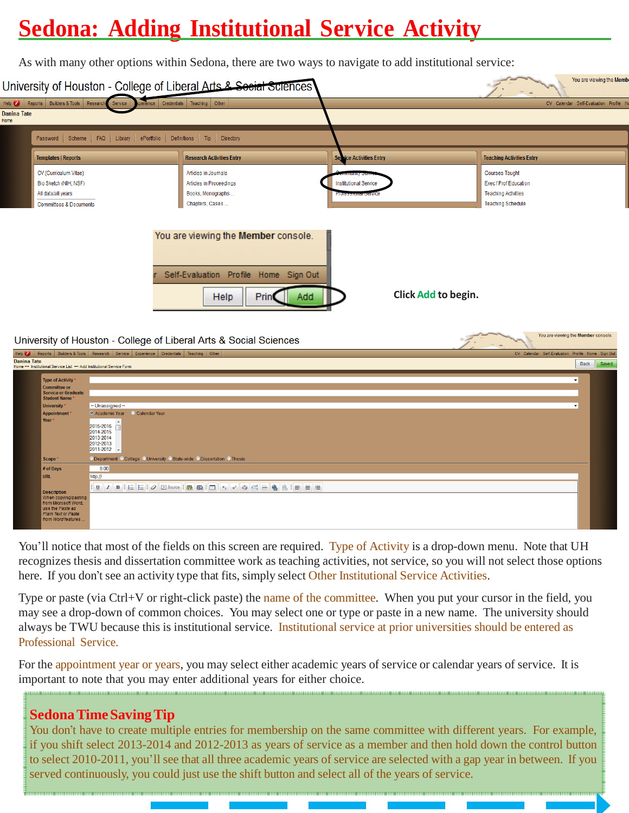## **Sedona: Adding Institutional Service Activity**

As with many other options within Sedona, there are two ways to navigate to add institutional service:

|                                                                                              |                                                                          | University of Houston - College of Liberal Arts & Secial Sciences |                                 | You are viewing the Men                           |
|----------------------------------------------------------------------------------------------|--------------------------------------------------------------------------|-------------------------------------------------------------------|---------------------------------|---------------------------------------------------|
| Reports Builders & Tools Research                                                            | Service                                                                  | perience Credentials Teaching Other                               |                                 | CV Calendar Self-Evaluation Profile               |
| <b>Danina Tate</b>                                                                           |                                                                          |                                                                   |                                 |                                                   |
| Password<br>Scheme                                                                           | <b>FAQ</b><br>Library<br>ePortfolio                                      | Definitions<br>Tip  <br>Directory                                 |                                 |                                                   |
| <b>Templates   Reports</b>                                                                   |                                                                          | <b>Research Activities Entry</b>                                  | <b>Service Activities Entry</b> | <b>Teaching Activities Entry</b>                  |
| CV (Curriculum Vitae)                                                                        |                                                                          | Articles in Journals                                              |                                 | <b>Courses Taught</b>                             |
| Bio Sketch (NIH, NSF)                                                                        |                                                                          | Articles in Proceedings                                           | <b>Institutional Service</b>    | Exec / Prof Education                             |
| All data/all years                                                                           |                                                                          | Books, Monographs                                                 |                                 | <b>Teaching Activities</b>                        |
| <b>Committees &amp; Documents</b>                                                            |                                                                          | Chapters, Cases                                                   |                                 | <b>Teaching Schedule</b>                          |
|                                                                                              |                                                                          | University of Houston - College of Liberal Arts & Social Sciences |                                 | You are viewing the Member console.               |
| Help $\bullet$                                                                               | Reports Builders & Tools Research Service Experience Credentials         | Teaching<br>Other                                                 |                                 | CV Calendar Self-Evaluation Profile Home Sign Out |
| <b>Danina Tate</b><br>Home *** Institutional Service List *** Add Institutional Service Form |                                                                          |                                                                   |                                 | <b>Back</b><br>Saved                              |
| <b>Type of Activity</b>                                                                      |                                                                          |                                                                   |                                 |                                                   |
| <b>Committee or</b><br><b>Service or Graduate</b>                                            |                                                                          |                                                                   |                                 |                                                   |
| <b>Student Name</b>                                                                          |                                                                          |                                                                   |                                 |                                                   |
| <b>University</b><br><b>Appointment</b>                                                      | -- Unassigned --<br>O Academic Year<br>Calendar Year                     |                                                                   |                                 |                                                   |
| Year <sup>*</sup>                                                                            | 2015-2016<br>2014-2015<br>2013-2014<br>2012-2013<br>2011-2012            |                                                                   |                                 |                                                   |
| <b>Scope</b>                                                                                 | O Department O College O University O State-wide O Dissertation O Thesis |                                                                   |                                 |                                                   |
| # of Days                                                                                    | 0.00                                                                     |                                                                   |                                 |                                                   |
| <b>URL</b>                                                                                   | http://                                                                  |                                                                   |                                 |                                                   |
|                                                                                              |                                                                          |                                                                   |                                 |                                                   |

You'll notice that most of the fields on this screen are required. Type of Activity is a drop-down menu. Note that UH recognizes thesis and dissertation committee work as teaching activities, not service, so you will not select those options here. If you don't see an activity type that fits, simply select Other Institutional Service Activities.

Type or paste (via Ctrl+V or right-click paste) the name of the committee. When you put your cursor in the field, you may see a drop-down of common choices. You may select one or type or paste in a new name. The university should always be TWU because this is institutional service. Institutional service at prior universities should be entered as Professional Service.

For the appointment year or years, you may select either academic years of service or calendar years of service. It is important to note that you may enter additional years for either choice.

## **SedonaTimeSavingTip**

se the Paste as

You don't have to create multiple entries for membership on the same committee with different years. For example, if you shift select 2013-2014 and 2012-2013 as years of service as a member and then hold down the control button to select 2010-2011, you'll see that all three academic years of service are selected with a gap year in between. If you served continuously, you could just use the shift button and select all of the years of service.